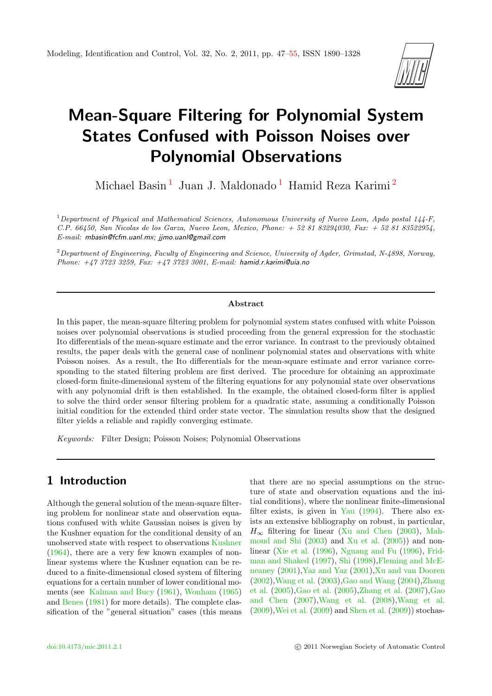

# Mean-Square Filtering for Polynomial System States Confused with Poisson Noises over Polynomial Observations

Michael Basin $^1\,$  $^1\,$  $^1\,$  Juan J. Maldonado $^1\,$  Hamid Reza Karimi $^2\,$  $^2\,$  $^2\,$ 

<sup>1</sup>Department of Physical and Mathematical Sciences, Autonomous University of Nuevo Leon, Apdo postal  $144$ -F, C.P. 66450, San Nicolas de los Garza, Nuevo Leon, Mexico, Phone: + 52 81 83294030, Fax: + 52 81 83522954, E-mail: mbasin@fcfm.uanl.mx; jjmo.uanl@gmail.com

<sup>2</sup>Department of Engineering, Faculty of Engineering and Science, University of Agder, Grimstad, N-4898, Norway, Phone:  $+4737233259$ , Fax:  $+4737233001$ , E-mail: hamid.r.karimi@uia.no

#### Abstract

In this paper, the mean-square filtering problem for polynomial system states confused with white Poisson noises over polynomial observations is studied proceeding from the general expression for the stochastic Ito differentials of the mean-square estimate and the error variance. In contrast to the previously obtained results, the paper deals with the general case of nonlinear polynomial states and observations with white Poisson noises. As a result, the Ito differentials for the mean-square estimate and error variance corresponding to the stated filtering problem are first derived. The procedure for obtaining an approximate closed-form finite-dimensional system of the filtering equations for any polynomial state over observations with any polynomial drift is then established. In the example, the obtained closed-form filter is applied to solve the third order sensor filtering problem for a quadratic state, assuming a conditionally Poisson initial condition for the extended third order state vector. The simulation results show that the designed filter yields a reliable and rapidly converging estimate.

Keywords: Filter Design; Poisson Noises; Polynomial Observations

#### <span id="page-0-0"></span>1 Introduction

Although the general solution of the mean-square filtering problem for nonlinear state and observation equations confused with white Gaussian noises is given by the Kushner equation for the conditional density of an unobserved state with respect to observations [Kushner](#page-7-0) [\(1964\)](#page-7-0), there are a very few known examples of nonlinear systems where the Kushner equation can be reduced to a finite-dimensional closed system of filtering equations for a certain number of lower conditional moments (see [Kalman and Bucy](#page-7-1) [\(1961\)](#page-7-1), [Wonham](#page-8-1) [\(1965\)](#page-8-1) and [Benes](#page-7-2) [\(1981\)](#page-7-2) for more details). The complete classification of the "general situation" cases (this means

that there are no special assumptions on the structure of state and observation equations and the initial conditions), where the nonlinear finite-dimensional filter exists, is given in [Yau](#page-8-2)  $(1994)$ . There also exists an extensive bibliography on robust, in particular,  $H_{\infty}$  filtering for linear [\(Xu and Chen](#page-8-3) [\(2003\)](#page-8-3), [Mah](#page-7-3)[moud and Shi](#page-7-3) [\(2003\)](#page-7-3) and [Xu et al.](#page-8-4) [\(2005\)](#page-8-4)) and nonlinear [\(Xie et al.](#page-8-5) [\(1996\)](#page-8-5), [Nguang and Fu](#page-7-4) [\(1996\)](#page-7-4), [Frid](#page-7-5)[man and Shaked](#page-7-5) [\(1997\)](#page-7-5), [Shi](#page-8-6) [\(1998\)](#page-8-6)[,Fleming and McE](#page-7-6)[neaney](#page-7-6) [\(2001\)](#page-7-6)[,Yaz and Yaz](#page-8-7) [\(2001\)](#page-8-7)[,Xu and van Dooren](#page-8-8) [\(2002\)](#page-8-8)[,Wang et al.](#page-8-9) [\(2003\)](#page-8-9)[,Gao and Wang](#page-7-7) [\(2004\)](#page-7-7)[,Zhang](#page-8-10) [et al.](#page-8-10) [\(2005\)](#page-8-10)[,Gao et al.](#page-7-8) [\(2005\)](#page-7-8)[,Zhang et al.](#page-8-11) [\(2007\)](#page-8-11)[,Gao](#page-7-9) [and Chen](#page-7-9) [\(2007\)](#page-7-9)[,Wang et al.](#page-8-12) [\(2008\)](#page-8-12)[,Wang et al.](#page-8-13) [\(2009\)](#page-8-13)[,Wei et al.](#page-8-14) [\(2009\)](#page-8-14) and [Shen et al.](#page-8-15) [\(2009\)](#page-8-15)) stochas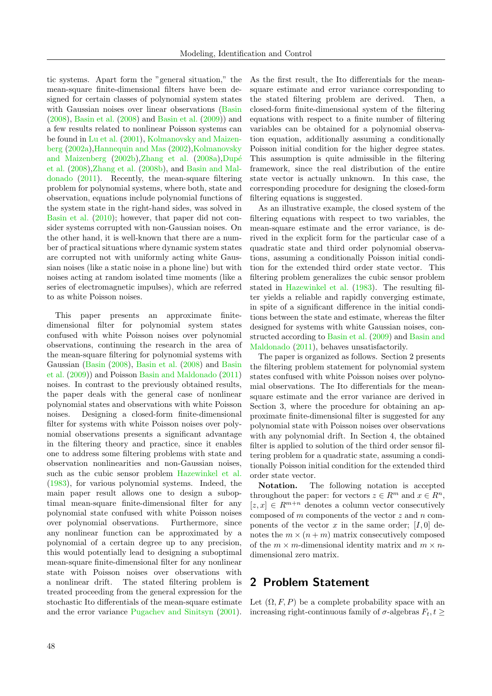tic systems. Apart form the "general situation," the mean-square finite-dimensional filters have been designed for certain classes of polynomial system states with Gaussian noises over linear observations [\(Basin](#page-7-10) [\(2008\)](#page-7-10), [Basin et al.](#page-7-11) [\(2008\)](#page-7-11) and [Basin et al.](#page-7-12) [\(2009\)](#page-7-12)) and a few results related to nonlinear Poisson systems can be found in [Lu et al.](#page-7-13) [\(2001\)](#page-7-13), [Kolmanovsky and Maizen](#page-7-14)[berg](#page-7-14) [\(2002a\)](#page-7-14)[,Hannequin and Mas](#page-7-15) [\(2002\)](#page-7-15)[,Kolmanovsky](#page-7-16) [and Maizenberg](#page-7-16)  $(2002b)$ , Zhang et al.  $(2008a)$ , Dupé [et al.](#page-7-17) [\(2008\)](#page-7-17)[,Zhang et al.](#page-8-17) [\(2008b\)](#page-8-17), and [Basin and Mal](#page-7-18)[donado](#page-7-18) [\(2011\)](#page-7-18). Recently, the mean-square filtering problem for polynomial systems, where both, state and observation, equations include polynomial functions of the system state in the right-hand sides, was solved in [Basin et al.](#page-7-19) [\(2010\)](#page-7-19); however, that paper did not consider systems corrupted with non-Gaussian noises. On the other hand, it is well-known that there are a number of practical situations where dynamic system states are corrupted not with uniformly acting white Gaussian noises (like a static noise in a phone line) but with noises acting at random isolated time moments (like a series of electromagnetic impulses), which are referred to as white Poisson noises.

This paper presents an approximate finitedimensional filter for polynomial system states confused with white Poisson noises over polynomial observations, continuing the research in the area of the mean-square filtering for polynomial systems with Gaussian [\(Basin](#page-7-10) [\(2008\)](#page-7-10), [Basin et al.](#page-7-11) [\(2008\)](#page-7-11) and [Basin](#page-7-12) [et al.](#page-7-12) [\(2009\)](#page-7-12)) and Poisson [Basin and Maldonado](#page-7-18) [\(2011\)](#page-7-18) noises. In contrast to the previously obtained results, the paper deals with the general case of nonlinear polynomial states and observations with white Poisson noises. Designing a closed-form finite-dimensional filter for systems with white Poisson noises over polynomial observations presents a significant advantage in the filtering theory and practice, since it enables one to address some filtering problems with state and observation nonlinearities and non-Gaussian noises, such as the cubic sensor problem [Hazewinkel et al.](#page-7-20) [\(1983\)](#page-7-20), for various polynomial systems. Indeed, the main paper result allows one to design a suboptimal mean-square finite-dimensional filter for any polynomial state confused with white Poisson noises over polynomial observations. Furthermore, since any nonlinear function can be approximated by a polynomial of a certain degree up to any precision, this would potentially lead to designing a suboptimal mean-square finite-dimensional filter for any nonlinear state with Poisson noises over observations with a nonlinear drift. The stated filtering problem is treated proceeding from the general expression for the stochastic Ito differentials of the mean-square estimate and the error variance [Pugachev and Sinitsyn](#page-8-18) [\(2001\)](#page-8-18). Increasing right-continuous family of  $\sigma$ -algebras  $F_t, t \geq$ 

As the first result, the Ito differentials for the meansquare estimate and error variance corresponding to the stated filtering problem are derived. Then, a closed-form finite-dimensional system of the filtering equations with respect to a finite number of filtering variables can be obtained for a polynomial observation equation, additionally assuming a conditionally Poisson initial condition for the higher degree states. This assumption is quite admissible in the filtering framework, since the real distribution of the entire state vector is actually unknown. In this case, the corresponding procedure for designing the closed-form filtering equations is suggested.

As an illustrative example, the closed system of the filtering equations with respect to two variables, the mean-square estimate and the error variance, is derived in the explicit form for the particular case of a quadratic state and third order polynomial observations, assuming a conditionally Poisson initial condition for the extended third order state vector. This filtering problem generalizes the cubic sensor problem stated in [Hazewinkel et al.](#page-7-20) [\(1983\)](#page-7-20). The resulting filter yields a reliable and rapidly converging estimate, in spite of a significant difference in the initial conditions between the state and estimate, whereas the filter designed for systems with white Gaussian noises, constructed according to [Basin et al.](#page-7-12) [\(2009\)](#page-7-12) and [Basin and](#page-7-18) [Maldonado](#page-7-18) [\(2011\)](#page-7-18), behaves unsatisfactorily.

The paper is organized as follows. Section 2 presents the filtering problem statement for polynomial system states confused with white Poisson noises over polynomial observations. The Ito differentials for the meansquare estimate and the error variance are derived in Section 3, where the procedure for obtaining an approximate finite-dimensional filter is suggested for any polynomial state with Poisson noises over observations with any polynomial drift. In Section 4, the obtained filter is applied to solution of the third order sensor filtering problem for a quadratic state, assuming a conditionally Poisson initial condition for the extended third order state vector.

Notation. The following notation is accepted throughout the paper: for vectors  $z \in R^m$  and  $x \in R^n$ ,  $[z, x] \in R^{m+n}$  denotes a column vector consecutively composed of  $m$  components of the vector  $z$  and  $n$  components of the vector x in the same order;  $[I, 0]$  denotes the  $m \times (n + m)$  matrix consecutively composed of the  $m \times m$ -dimensional identity matrix and  $m \times n$ dimensional zero matrix.

#### 2 Problem Statement

Let  $(\Omega, F, P)$  be a complete probability space with an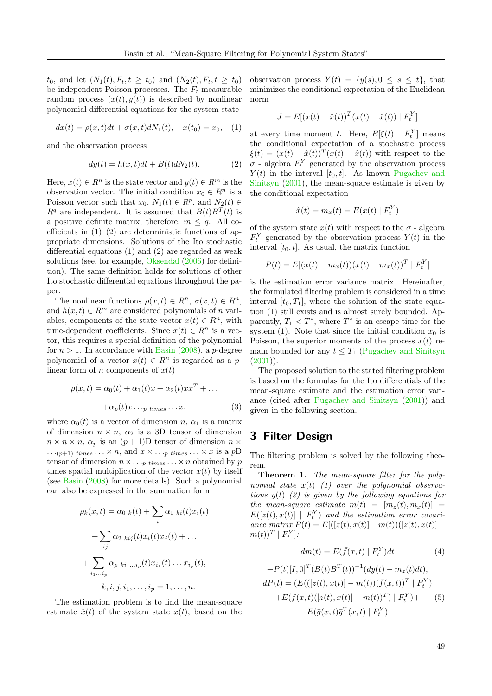$t_0$ , and let  $(N_1(t), F_t, t \geq t_0)$  and  $(N_2(t), F_t, t \geq t_0)$ be independent Poisson processes. The  $F_t$ -measurable random process  $(x(t), y(t))$  is described by nonlinear polynomial differential equations for the system state

$$
dx(t) = \rho(x, t)dt + \sigma(x, t)dN_1(t), \quad x(t_0) = x_0, \quad (1)
$$

and the observation process

$$
dy(t) = h(x, t)dt + B(t)dN_2(t).
$$
 (2)

Here,  $x(t) \in R^n$  is the state vector and  $y(t) \in R^m$  is the observation vector. The initial condition  $x_0 \in R^n$  is a Poisson vector such that  $x_0, N_1(t) \in R^p$ , and  $N_2(t) \in$  $R^q$  are independent. It is assumed that  $B(t)B^T(t)$  is a positive definite matrix, therefore,  $m \leq q$ . All coefficients in  $(1)$ – $(2)$  are deterministic functions of appropriate dimensions. Solutions of the Ito stochastic differential equations (1) and (2) are regarded as weak solutions (see, for example, [Oksendal](#page-7-21) [\(2006\)](#page-7-21) for definition). The same definition holds for solutions of other Ito stochastic differential equations throughout the paper.

The nonlinear functions  $\rho(x,t) \in R^n$ ,  $\sigma(x,t) \in R^n$ , and  $h(x, t) \in R^m$  are considered polynomials of n variables, components of the state vector  $x(t) \in R^n$ , with time-dependent coefficients. Since  $x(t) \in R^n$  is a vector, this requires a special definition of the polynomial for  $n > 1$ . In accordance with [Basin](#page-7-10) [\(2008\)](#page-7-10), a *p*-degree polynomial of a vector  $x(t) \in R^n$  is regarded as a plinear form of n components of  $x(t)$ 

$$
\rho(x,t) = \alpha_0(t) + \alpha_1(t)x + \alpha_2(t)x^T + \dots
$$

$$
+ \alpha_p(t)x \dots p \times \dots x,
$$
 (3)

where  $\alpha_0(t)$  is a vector of dimension n,  $\alpha_1$  is a matrix of dimension  $n \times n$ ,  $\alpha_2$  is a 3D tensor of dimension  $n \times n \times n$ ,  $\alpha_p$  is an  $(p+1)$ D tensor of dimension  $n \times$  $\cdots (p+1)$  times  $\cdots \times n$ , and  $x \times \cdots p$  times  $\cdots \times x$  is a pD tensor of dimension  $n \times \ldots$  *p* times  $\ldots \times n$  obtained by *p* times spatial multiplication of the vector  $x(t)$  by itself (see [Basin](#page-7-10) [\(2008\)](#page-7-10) for more details). Such a polynomial can also be expressed in the summation form

$$
\rho_k(x,t) = \alpha_0 \kappa(t) + \sum_i \alpha_1 \kappa_i(t)x_i(t)
$$

$$
+ \sum_{ij} \alpha_2 \kappa_{ij}(t)x_i(t)x_j(t) + \dots
$$

$$
+ \sum_{i_1 \dots i_p} \alpha_p \kappa_{i_1 \dots i_p}(t)x_{i_1}(t) \dots x_{i_p}(t),
$$

$$
k, i, j, i_1, \dots, i_p = 1, \dots, n.
$$

The estimation problem is to find the mean-square estimate  $\hat{x}(t)$  of the system state  $x(t)$ , based on the observation process  $Y(t) = \{y(s), 0 \le s \le t\}$ , that minimizes the conditional expectation of the Euclidean norm

$$
J = E[(x(t) - \hat{x}(t))^T (x(t) - \hat{x}(t)) | F_t^Y]
$$

at every time moment t. Here,  $E[\xi(t) | F_t^Y]$  means the conditional expectation of a stochastic process  $\xi(t) = (x(t) - \hat{x}(t))^T (x(t) - \hat{x}(t))$  with respect to the  $\sigma$  - algebra  $F_t^Y$  generated by the observation process  $Y(t)$  in the interval  $[t_0, t]$ . As known [Pugachev and](#page-8-18) [Sinitsyn](#page-8-18) [\(2001\)](#page-8-18), the mean-square estimate is given by the conditional expectation

$$
\hat{x}(t) = m_x(t) = E(x(t) | F_t^Y)
$$

of the system state  $x(t)$  with respect to the  $\sigma$  - algebra  $F_t^Y$  generated by the observation process  $Y(t)$  in the interval  $[t_0, t]$ . As usual, the matrix function

$$
P(t) = E[(x(t) - m_x(t))(x(t) - m_x(t))^T | F_t^Y]
$$

is the estimation error variance matrix. Hereinafter, the formulated filtering problem is considered in a time interval  $[t_0, T_1]$ , where the solution of the state equation (1) still exists and is almost surely bounded. Apparently,  $T_1 < T^*$ , where  $T^*$  is an escape time for the system (1). Note that since the initial condition  $x_0$  is Poisson, the superior moments of the process  $x(t)$  remain bounded for any  $t \leq T_1$  [\(Pugachev and Sinitsyn](#page-8-18)  $(2001)$ ).

The proposed solution to the stated filtering problem is based on the formulas for the Ito differentials of the mean-square estimate and the estimation error variance (cited after [Pugachev and Sinitsyn](#page-8-18) [\(2001\)](#page-8-18)) and given in the following section.

#### 3 Filter Design

The filtering problem is solved by the following theorem.

Theorem 1. The mean-square filter for the polynomial state  $x(t)$  (1) over the polynomial observations  $y(t)$  (2) is given by the following equations for the mean-square estimate  $m(t) = [m_z(t), m_x(t)] =$  $E([z(t),x(t)] \mid F_t^Y)$  and the estimation error covariance matrix  $P(t) = E[(z(t), x(t)) - m(t))([z(t), x(t)] (m(t))^T \mid F_t^Y$ ]:

$$
dm(t) = E(\bar{f}(x,t) | F_t^Y)dt
$$
\n(4)

+
$$
P(t)[I,0]^T(B(t)B^T(t))^{-1}(dy(t) - m_z(t)dt),
$$
  
\n $dP(t) = (E(([z(t),x(t)] - m(t))(\bar{f}(x,t))^T | F_t^Y)$   
\n+ $E(\bar{f}(x,t)([z(t),x(t)] - m(t))^T) | F_t^Y)$ + (5)  
\n $E(\bar{g}(x,t)\bar{g}^T(x,t) | F_t^Y)$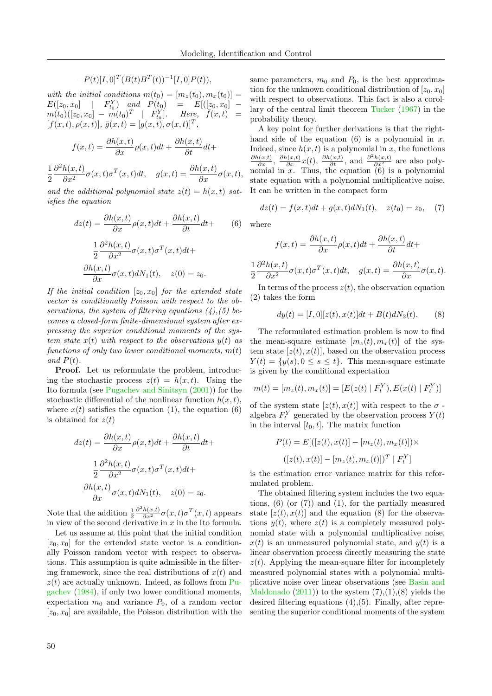$$
-P(t)[I,0]T(B(t)BT(t))-1[I,0]P(t)),
$$

with the initial conditions  $m(t_0) = [m_z(t_0), m_x(t_0)] =$  $E([z_0, x_0] \mid F_{t_0}^Y)$  and  $P(t_0) = E[(z_0, x_0]$  $m(t_0)([z_0, x_0] - m(t_0)^T \mid F_{t_0}^Y].$  Here,  $\widetilde{f}(x, t) =$  $[f(x,t), \rho(x,t)], \bar{g}(x,t) = [g(x,t), \sigma(x,t)]^T,$ 

$$
f(x,t) = \frac{\partial h(x,t)}{\partial x} \rho(x,t) dt + \frac{\partial h(x,t)}{\partial t} dt +
$$

1 2  $\partial^2 h(x,t)$  $\frac{h(x,t)}{\partial x^2}\sigma(x,t)\sigma^T(x,t)dt$ ,  $g(x,t) = \frac{\partial h(x,t)}{\partial x}\sigma(x,t)$ ,

and the additional polynomial state  $z(t) = h(x, t)$  satisfies the equation

$$
dz(t) = \frac{\partial h(x,t)}{\partial x} \rho(x,t) dt + \frac{\partial h(x,t)}{\partial t} dt +
$$
 (6)

$$
\frac{1}{2} \frac{\partial^2 h(x,t)}{\partial x^2} \sigma(x,t) \sigma^T(x,t) dt +
$$
  

$$
\frac{\partial h(x,t)}{\partial x} \sigma(x,t) dN_1(t), \quad z(0) = z_0.
$$

If the initial condition  $[z_0, x_0]$  for the extended state vector is conditionally Poisson with respect to the observations, the system of filtering equations  $(4)$ ,  $(5)$  becomes a closed-form finite-dimensional system after expressing the superior conditional moments of the system state  $x(t)$  with respect to the observations  $y(t)$  as functions of only two lower conditional moments,  $m(t)$ and  $P(t)$ .

Proof. Let us reformulate the problem, introducing the stochastic process  $z(t) = h(x, t)$ . Using the Ito formula (see [Pugachev and Sinitsyn](#page-8-18) [\(2001\)](#page-8-18)) for the stochastic differential of the nonlinear function  $h(x, t)$ , where  $x(t)$  satisfies the equation (1), the equation (6) is obtained for  $z(t)$ 

$$
dz(t) = \frac{\partial h(x,t)}{\partial x} \rho(x,t)dt + \frac{\partial h(x,t)}{\partial t}dt +
$$

$$
\frac{1}{2} \frac{\partial^2 h(x,t)}{\partial x^2} \sigma(x,t) \sigma^T(x,t)dt +
$$

$$
\frac{\partial h(x,t)}{\partial x} \sigma(x,t) dN_1(t), \quad z(0) = z_0.
$$

Note that the addition  $\frac{1}{2}$  $\frac{\partial^2 h(x,t)}{\partial x^2} \sigma(x,t) \sigma^T(x,t)$  appears in view of the second derivative in  $x$  in the Ito formula.

Let us assume at this point that the initial condition  $[z_0, x_0]$  for the extended state vector is a conditionally Poisson random vector with respect to observations. This assumption is quite admissible in the filtering framework, since the real distributions of  $x(t)$  and  $z(t)$  are actually unknown. Indeed, as follows from [Pu](#page-7-22)[gachev](#page-7-22) [\(1984\)](#page-7-22), if only two lower conditional moments, expectation  $m_0$  and variance  $P_0$ , of a random vector  $[z_0, x_0]$  are available, the Poisson distribution with the same parameters,  $m_0$  and  $P_0$ , is the best approximation for the unknown conditional distribution of  $[z_0, x_0]$ with respect to observations. This fact is also a corollary of the central limit theorem [Tucker](#page-8-19) [\(1967\)](#page-8-19) in the probability theory.

A key point for further derivations is that the righthand side of the equation  $(6)$  is a polynomial in x. Indeed, since  $h(x, t)$  is a polynomial in x, the functions  $\frac{\partial h(x,t)}{\partial x}$ ,  $\frac{\partial h(x,t)}{\partial x}x(t)$ ,  $\frac{\partial h(x,t)}{\partial t}$ , and  $\frac{\partial^2 h(x,t)}{\partial x^2}$  are also polynomial in  $x$ . Thus, the equation  $(6)$  is a polynomial state equation with a polynomial multiplicative noise. It can be written in the compact form

$$
dz(t) = f(x, t)dt + g(x, t)dN_1(t), \quad z(t_0) = z_0, \quad (7)
$$

where

$$
f(x,t) = \frac{\partial h(x,t)}{\partial x} \rho(x,t) dt + \frac{\partial h(x,t)}{\partial t} dt +
$$

$$
\frac{1}{2} \frac{\partial^2 h(x,t)}{\partial x^2} \sigma(x,t) \sigma^T(x,t) dt, \quad g(x,t) = \frac{\partial h(x,t)}{\partial x} \sigma(x,t).
$$

In terms of the process  $z(t)$ , the observation equation (2) takes the form

$$
dy(t) = [I, 0][z(t), x(t)]dt + B(t)dN_2(t).
$$
 (8)

The reformulated estimation problem is now to find the mean-square estimate  $[m_z(t), m_x(t)]$  of the system state  $[z(t), x(t)]$ , based on the observation process  $Y(t) = \{y(s), 0 \le s \le t\}.$  This mean-square estimate is given by the conditional expectation

$$
m(t) = [m_z(t), m_x(t)] = [E(z(t) | F_t^Y), E(x(t) | F_t^Y)]
$$

of the system state  $[z(t),x(t)]$  with respect to the  $\sigma$ algebra  $F_t^Y$  generated by the observation process  $Y(t)$ in the interval  $[t_0, t]$ . The matrix function

$$
P(t) = E[([z(t), x(t)] - [m_z(t), m_x(t)]) \times
$$

$$
([z(t), x(t)] - [m_z(t), m_x(t)])^T | F_t^Y]
$$

is the estimation error variance matrix for this reformulated problem.

The obtained filtering system includes the two equations,  $(6)$  (or  $(7)$ ) and  $(1)$ , for the partially measured state  $[z(t),x(t)]$  and the equation (8) for the observations  $y(t)$ , where  $z(t)$  is a completely measured polynomial state with a polynomial multiplicative noise,  $x(t)$  is an unmeasured polynomial state, and  $y(t)$  is a linear observation process directly measuring the state  $z(t)$ . Applying the mean-square filter for incompletely measured polynomial states with a polynomial multiplicative noise over linear observations (see [Basin and](#page-7-18) [Maldonado](#page-7-18)  $(2011)$  to the system  $(7),(1),(8)$  yields the desired filtering equations (4),(5). Finally, after representing the superior conditional moments of the system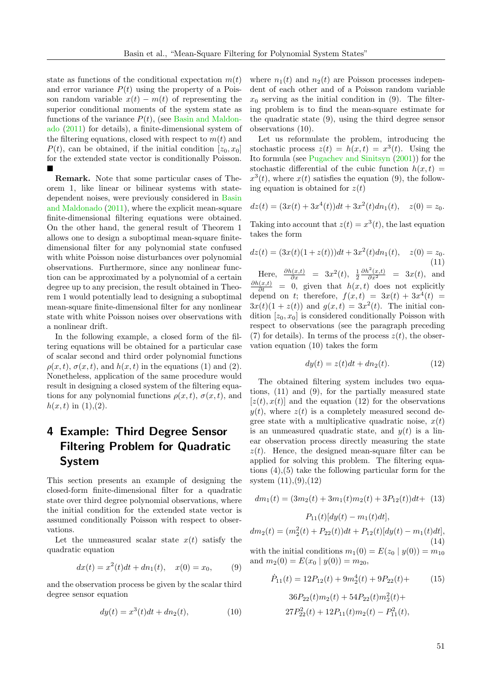state as functions of the conditional expectation  $m(t)$ and error variance  $P(t)$  using the property of a Poisson random variable  $x(t) - m(t)$  of representing the superior conditional moments of the system state as functions of the variance  $P(t)$ , (see [Basin and Maldon](#page-7-18)[ado](#page-7-18) [\(2011\)](#page-7-18) for details), a finite-dimensional system of the filtering equations, closed with respect to  $m(t)$  and  $P(t)$ , can be obtained, if the initial condition  $[z_0, x_0]$ for the extended state vector is conditionally Poisson.  $\blacksquare$ 

Remark. Note that some particular cases of Theorem 1, like linear or bilinear systems with statedependent noises, were previously considered in [Basin](#page-7-18) [and Maldonado](#page-7-18) [\(2011\)](#page-7-18), where the explicit mean-square finite-dimensional filtering equations were obtained. On the other hand, the general result of Theorem 1 allows one to design a suboptimal mean-square finitedimensional filter for any polynomial state confused with white Poisson noise disturbances over polynomial observations. Furthermore, since any nonlinear function can be approximated by a polynomial of a certain degree up to any precision, the result obtained in Theorem 1 would potentially lead to designing a suboptimal mean-square finite-dimensional filter for any nonlinear state with white Poisson noises over observations with a nonlinear drift.

In the following example, a closed form of the filtering equations will be obtained for a particular case of scalar second and third order polynomial functions  $\rho(x, t)$ ,  $\sigma(x, t)$ , and  $h(x, t)$  in the equations (1) and (2). Nonetheless, application of the same procedure would result in designing a closed system of the filtering equations for any polynomial functions  $\rho(x, t)$ ,  $\sigma(x, t)$ , and  $h(x, t)$  in  $(1), (2)$ .

## 4 Example: Third Degree Sensor Filtering Problem for Quadratic System

This section presents an example of designing the closed-form finite-dimensional filter for a quadratic state over third degree polynomial observations, where the initial condition for the extended state vector is assumed conditionally Poisson with respect to observations.

Let the unmeasured scalar state  $x(t)$  satisfy the quadratic equation

$$
dx(t) = x^2(t)dt + dn_1(t), \quad x(0) = x_0,\tag{9}
$$

and the observation process be given by the scalar third degree sensor equation

$$
dy(t) = x^3(t)dt + dn_2(t),
$$
\n(10)

where  $n_1(t)$  and  $n_2(t)$  are Poisson processes independent of each other and of a Poisson random variable  $x_0$  serving as the initial condition in (9). The filtering problem is to find the mean-square estimate for the quadratic state (9), using the third degree sensor observations (10).

Let us reformulate the problem, introducing the stochastic process  $z(t) = h(x,t) = x^3(t)$ . Using the Ito formula (see [Pugachev and Sinitsyn](#page-8-18) [\(2001\)](#page-8-18)) for the stochastic differential of the cubic function  $h(x, t) =$  $x^3(t)$ , where  $x(t)$  satisfies the equation (9), the following equation is obtained for  $z(t)$ 

$$
dz(t) = (3x(t) + 3x4(t))dt + 3x2(t)dn1(t), z(0) = z0.
$$

Taking into account that  $z(t) = x^3(t)$ , the last equation takes the form

$$
dz(t) = (3x(t)(1+z(t)))dt + 3x^{2}(t)dn_{1}(t), \quad z(0) = z_{0}.
$$
\n(11)

Here,  $\frac{\partial h(x,t)}{\partial x} = 3x^2(t), \frac{1}{2}$  $\frac{\partial h^2(x,t)}{\partial x^2}$  = 3x(t), and  $\frac{\partial h(x,t)}{\partial t} = 0$ , given that  $h(x,t)$  does not explicitly depend on t; therefore,  $f(x,t) = 3x(t) + 3x^4(t) =$  $3x(t)(1+z(t))$  and  $g(x,t) = 3x^2(t)$ . The initial condition  $[z_0, x_0]$  is considered conditionally Poisson with respect to observations (see the paragraph preceding (7) for details). In terms of the process  $z(t)$ , the observation equation (10) takes the form

$$
dy(t) = z(t)dt + dn_2(t).
$$
 (12)

The obtained filtering system includes two equations, (11) and (9), for the partially measured state  $[z(t), x(t)]$  and the equation (12) for the observations  $y(t)$ , where  $z(t)$  is a completely measured second degree state with a multiplicative quadratic noise,  $x(t)$ is an unmeasured quadratic state, and  $y(t)$  is a linear observation process directly measuring the state  $z(t)$ . Hence, the designed mean-square filter can be applied for solving this problem. The filtering equations (4),(5) take the following particular form for the system (11),(9),(12)

$$
dm_1(t) = (3m_2(t) + 3m_1(t)m_2(t) + 3P_{12}(t))dt + (13)
$$

$$
P_{11}(t)[dy(t) - m_1(t)dt],
$$

 $dm_2(t) = (m_2^2(t) + P_{22}(t))dt + P_{12}(t)[dy(t) - m_1(t)dt],$ (14)

with the initial conditions  $m_1(0) = E(z_0 | y(0)) = m_{10}$ and  $m_2(0) = E(x_0 | y(0)) = m_{20}$ ,

$$
\dot{P}_{11}(t) = 12P_{12}(t) + 9m_2^4(t) + 9P_{22}(t) + \tag{15}
$$
\n
$$
36P_{22}(t)m_2(t) + 54P_{22}(t)m_2^2(t) + \n27P_{22}^2(t) + 12P_{11}(t)m_2(t) - P_{11}^2(t),
$$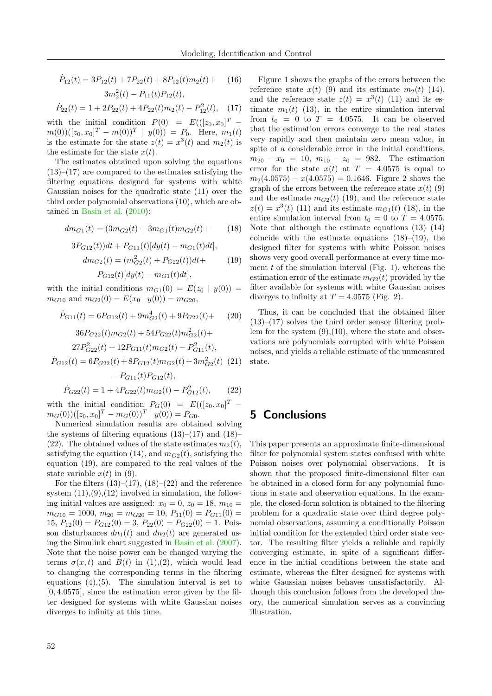$$
\dot{P}_{12}(t) = 3P_{12}(t) + 7P_{22}(t) + 8P_{12}(t)m_2(t) + (16)
$$

$$
3m_2^2(t) - P_{11}(t)P_{12}(t),
$$

$$
\dot{P}_{22}(t) = 1 + 2P_{22}(t) + 4P_{22}(t)m_2(t) - P_{12}^2(t), \quad (17)
$$

with the initial condition  $P(0) = E((z_0, x_0)^T$  $m(0))([z_0, x_0]^T - m(0))^T \mid y(0) = P_0$ . Here,  $m_1(t)$ is the estimate for the state  $z(t) = x^3(t)$  and  $m_2(t)$  is the estimate for the state  $x(t)$ .

The estimates obtained upon solving the equations  $(13)$ – $(17)$  are compared to the estimates satisfying the filtering equations designed for systems with white Gaussian noises for the quadratic state (11) over the third order polynomial observations (10), which are obtained in [Basin et al.](#page-7-19) [\(2010\)](#page-7-19):

$$
dm_{G1}(t) = (3m_{G2}(t) + 3m_{G1}(t)m_{G2}(t) + (18)
$$

$$
3P_{G12}(t))dt + P_{G11}(t)[dy(t) - m_{G1}(t)dt],
$$
  
\n
$$
dm_{G2}(t) = (m_{G2}^2(t) + P_{G22}(t))dt +
$$
  
\n
$$
P_{G12}(t)[dy(t) - m_{G1}(t)dt],
$$
\n(19)

with the initial conditions  $m_{G_1}(0) = E(z_0 | y(0)) =$  $m_{G10}$  and  $m_{G2}(0) = E(x_0 | y(0)) = m_{G20}$ ,

$$
\dot{P}_{G11}(t) = 6P_{G12}(t) + 9m_{G2}^4(t) + 9P_{G22}(t) + (20)
$$

$$
36P_{G22}(t)m_{G2}(t) + 54P_{G22}(t)m_{G2}^2(t) +
$$
  

$$
27P_{G22}^2(t) + 12P_{G11}(t)m_{G2}(t) - P_{G11}^2(t),
$$

$$
\dot{P}_{G12}(t) = 6P_{G22}(t) + 8P_{G12}(t)m_{G2}(t) + 3m_{G2}^2(t)
$$
 (21)  
-
$$
P_{G11}(t)P_{G12}(t),
$$

$$
\dot{P}_{G22}(t) = 1 + 4P_{G22}(t)m_{G2}(t) - P_{G12}^2(t),
$$
\n(22)

\nwith the initial condition  $P_G(0) = E(([z_0, x_0]^T -$ 

 $m_G(0))([z_0, x_0]^T - m_G(0))^T \mid y(0) = P_{G0}.$ 

Numerical simulation results are obtained solving the systems of filtering equations  $(13)$ – $(17)$  and  $(18)$ – (22). The obtained values of the state estimates  $m_2(t)$ , satisfying the equation (14), and  $m_{G2}(t)$ , satisfying the equation (19), are compared to the real values of the state variable  $x(t)$  in (9).

For the filters  $(13)$ – $(17)$ ,  $(18)$ – $(22)$  and the reference system  $(11),(9),(12)$  involved in simulation, the following initial values are assigned:  $x_0 = 0$ ,  $z_0 = 18$ ,  $m_{10} =$  $m_{G10} = 1000, m_{20} = m_{G20} = 10, P_{11}(0) = P_{G11}(0) =$  $15, P_{12}(0) = P_{G12}(0) = 3, P_{22}(0) = P_{G22}(0) = 1.$  Poisson disturbances  $dn_1(t)$  and  $dn_2(t)$  are generated using the Simulink chart suggested in [Basin et al.](#page-7-23) [\(2007\)](#page-7-23). Note that the noise power can be changed varying the terms  $\sigma(x, t)$  and  $B(t)$  in (1),(2), which would lead to changing the corresponding terms in the filtering equations  $(4)$ ,  $(5)$ . The simulation interval is set to  $[0, 4.0575]$ , since the estimation error given by the filter designed for systems with white Gaussian noises diverges to infinity at this time.

Figure 1 shows the graphs of the errors between the reference state  $x(t)$  (9) and its estimate  $m_2(t)$  (14), and the reference state  $z(t) = x^3(t)$  (11) and its estimate  $m_1(t)$  (13), in the entire simulation interval from  $t_0 = 0$  to  $T = 4.0575$ . It can be observed that the estimation errors converge to the real states very rapidly and then maintain zero mean value, in spite of a considerable error in the initial conditions,  $m_{20} - x_0 = 10$ ,  $m_{10} - z_0 = 982$ . The estimation error for the state  $x(t)$  at  $T = 4.0575$  is equal to  $m_2(4.0575) - x(4.0575) = 0.1646$ . Figure 2 shows the graph of the errors between the reference state  $x(t)$  (9) and the estimate  $m_{G2}(t)$  (19), and the reference state  $z(t) = x^{3}(t)$  (11) and its estimate  $m_{G_1}(t)$  (18), in the entire simulation interval from  $t_0 = 0$  to  $T = 4.0575$ . Note that although the estimate equations  $(13)$ – $(14)$ coincide with the estimate equations  $(18)$ – $(19)$ , the designed filter for systems with white Poisson noises shows very good overall performance at every time moment  $t$  of the simulation interval (Fig. 1), whereas the estimation error of the estimate  $m_{G2}(t)$  provided by the filter available for systems with white Gaussian noises diverges to infinity at  $T = 4.0575$  (Fig. 2).

Thus, it can be concluded that the obtained filter  $(13)$ – $(17)$  solves the third order sensor filtering problem for the system  $(9)$ , $(10)$ , where the state and observations are polynomials corrupted with white Poisson noises, and yields a reliable estimate of the unmeasured state.

### 5 Conclusions

This paper presents an approximate finite-dimensional filter for polynomial system states confused with white Poisson noises over polynomial observations. It is shown that the proposed finite-dimensional filter can be obtained in a closed form for any polynomial functions in state and observation equations. In the example, the closed-form solution is obtained to the filtering problem for a quadratic state over third degree polynomial observations, assuming a conditionally Poisson initial condition for the extended third order state vector. The resulting filter yields a reliable and rapidly converging estimate, in spite of a significant difference in the initial conditions between the state and estimate, whereas the filter designed for systems with white Gaussian noises behaves unsatisfactorily. Although this conclusion follows from the developed theory, the numerical simulation serves as a convincing illustration.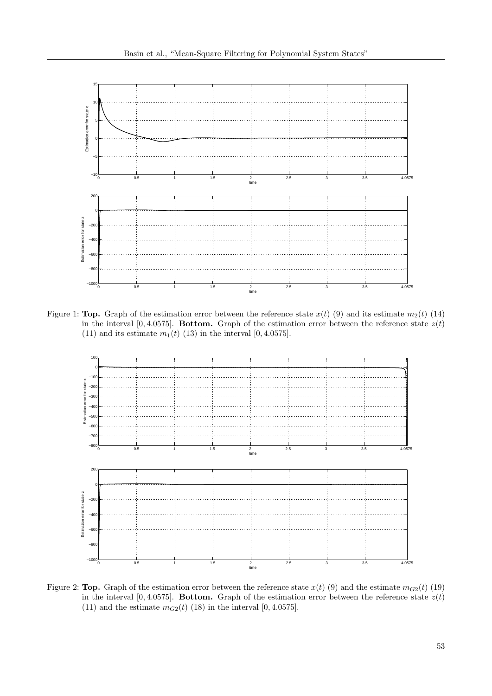

Figure 1: **Top.** Graph of the estimation error between the reference state  $x(t)$  (9) and its estimate  $m_2(t)$  (14) in the interval [0, 4.0575]. Bottom. Graph of the estimation error between the reference state  $z(t)$ (11) and its estimate  $m_1(t)$  (13) in the interval [0, 4.0575].



Figure 2: **Top.** Graph of the estimation error between the reference state  $x(t)$  (9) and the estimate  $m_{G2}(t)$  (19) in the interval [0, 4.0575]. Bottom. Graph of the estimation error between the reference state  $z(t)$ (11) and the estimate  $m_{G2}(t)$  (18) in the interval [0, 4.0575].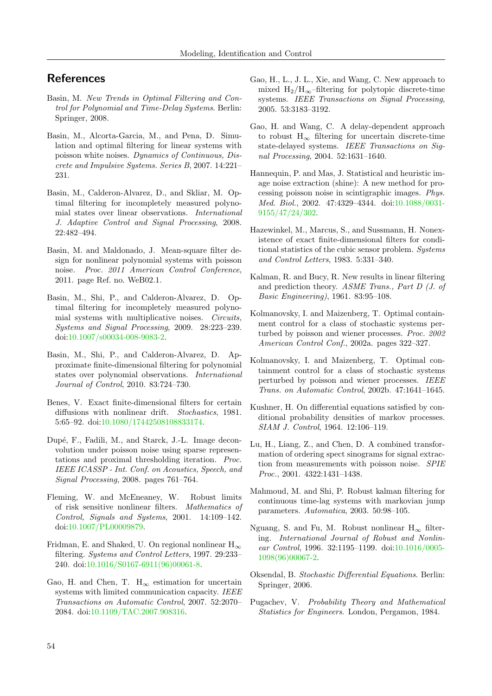### References

- <span id="page-7-10"></span>Basin, M. New Trends in Optimal Filtering and Control for Polynomial and Time-Delay Systems. Berlin: Springer, 2008.
- <span id="page-7-23"></span>Basin, M., Alcorta-Garcia, M., and Pena, D. Simulation and optimal filtering for linear systems with poisson white noises. Dynamics of Continuous, Discrete and Impulsive Systems. Series B, 2007. 14:221– 231.
- <span id="page-7-11"></span>Basin, M., Calderon-Alvarez, D., and Skliar, M. Optimal filtering for incompletely measured polynomial states over linear observations. International J. Adaptive Control and Signal Processing, 2008. 22:482–494.
- <span id="page-7-18"></span>Basin, M. and Maldonado, J. Mean-square filter design for nonlinear polynomial systems with poisson noise. Proc. 2011 American Control Conference, 2011. page Ref. no. WeB02.1.
- <span id="page-7-12"></span>Basin, M., Shi, P., and Calderon-Alvarez, D. Optimal filtering for incompletely measured polynomial systems with multiplicative noises. Circuits, Systems and Signal Processing, 2009. 28:223–239. doi[:10.1007/s00034-008-9083-2.](http://dx.doi.org/10.1007/s00034-008-9083-2)
- <span id="page-7-19"></span>Basin, M., Shi, P., and Calderon-Alvarez, D. Approximate finite-dimensional filtering for polynomial states over polynomial observations. International Journal of Control, 2010. 83:724–730.
- <span id="page-7-2"></span>Benes, V. Exact finite-dimensional filters for certain diffusions with nonlinear drift. Stochastics, 1981. 5:65–92. doi[:10.1080/17442508108833174.](http://dx.doi.org/10.1080/17442508108833174)
- <span id="page-7-17"></span>Dup´e, F., Fadili, M., and Starck, J.-L. Image deconvolution under poisson noise using sparse representations and proximal thresholding iteration. Proc. IEEE ICASSP - Int. Conf. on Acoustics, Speech, and Signal Processing, 2008. pages 761–764.
- <span id="page-7-6"></span>Fleming, W. and McEneaney, W. Robust limits of risk sensitive nonlinear filters. Mathematics of Control, Signals and Systems, 2001. 14:109–142. doi[:10.1007/PL00009879.](http://dx.doi.org/10.1007/PL00009879)
- <span id="page-7-5"></span>Fridman, E. and Shaked, U. On regional nonlinear  $H_{\infty}$ filtering. Systems and Control Letters, 1997. 29:233– 240. doi[:10.1016/S0167-6911\(96\)00061-8.](http://dx.doi.org/10.1016/S0167-6911(96)00061-8)
- <span id="page-7-9"></span>Gao, H. and Chen, T.  $H_{\infty}$  estimation for uncertain systems with limited communication capacity. IEEE Transactions on Automatic Control, 2007. 52:2070– 2084. doi[:10.1109/TAC.2007.908316.](http://dx.doi.org/10.1109/TAC.2007.908316)
- <span id="page-7-8"></span>Gao, H., L., J. L., Xie, and Wang, C. New approach to mixed  $H_2/H_{\infty}$ –filtering for polytopic discrete-time systems. IEEE Transactions on Signal Processing, 2005. 53:3183–3192.
- <span id="page-7-7"></span>Gao, H. and Wang, C. A delay-dependent approach to robust  $H_{\infty}$  filtering for uncertain discrete-time state-delayed systems. IEEE Transactions on Signal Processing, 2004. 52:1631–1640.
- <span id="page-7-15"></span>Hannequin, P. and Mas, J. Statistical and heuristic image noise extraction (shine): A new method for processing poisson noise in scintigraphic images. Phys. Med. Biol., 2002. 47:4329–4344. doi[:10.1088/0031-](http://dx.doi.org/10.1088/0031-9155/47/24/302) [9155/47/24/302.](http://dx.doi.org/10.1088/0031-9155/47/24/302)
- <span id="page-7-20"></span>Hazewinkel, M., Marcus, S., and Sussmann, H. Nonexistence of exact finite-dimensional filters for conditional statistics of the cubic sensor problem. Systems and Control Letters, 1983. 5:331–340.
- <span id="page-7-1"></span>Kalman, R. and Bucy, R. New results in linear filtering and prediction theory. ASME Trans., Part D (J. of Basic Engineering), 1961. 83:95–108.
- <span id="page-7-14"></span>Kolmanovsky, I. and Maizenberg, T. Optimal containment control for a class of stochastic systems perturbed by poisson and wiener processes. Proc. 2002 American Control Conf., 2002a. pages 322–327.
- <span id="page-7-16"></span>Kolmanovsky, I. and Maizenberg, T. Optimal containment control for a class of stochastic systems perturbed by poisson and wiener processes. IEEE Trans. on Automatic Control, 2002b. 47:1641–1645.
- <span id="page-7-0"></span>Kushner, H. On differential equations satisfied by conditional probability densities of markov processes. SIAM J. Control, 1964. 12:106–119.
- <span id="page-7-13"></span>Lu, H., Liang, Z., and Chen, D. A combined transformation of ordering spect sinograms for signal extraction from measurements with poisson noise. SPIE Proc., 2001. 4322:1431–1438.
- <span id="page-7-3"></span>Mahmoud, M. and Shi, P. Robust kalman filtering for continuous time-lag systems with markovian jump parameters. Automatica, 2003. 50:98–105.
- <span id="page-7-4"></span>Nguang, S. and Fu, M. Robust nonlinear  $H_{\infty}$  filtering. International Journal of Robust and Nonlinear Control, 1996. 32:1195–1199. doi[:10.1016/0005-](http://dx.doi.org/10.1016/0005-1098(96)00067-2) [1098\(96\)00067-2.](http://dx.doi.org/10.1016/0005-1098(96)00067-2)
- <span id="page-7-21"></span>Oksendal, B. Stochastic Differential Equations. Berlin: Springer, 2006.
- <span id="page-7-22"></span>Pugachev, V. Probability Theory and Mathematical Statistics for Engineers. London, Pergamon, 1984.